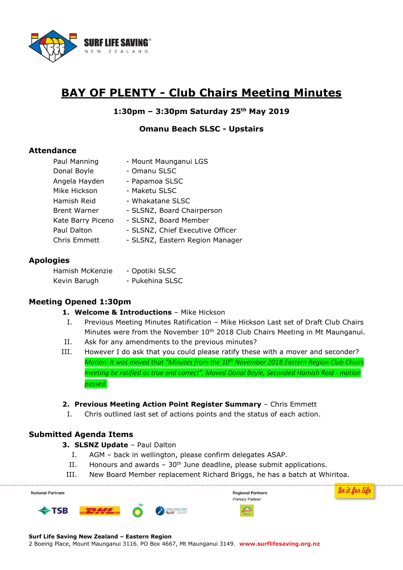

# **BAY OF PLENTY - Club Chairs Meeting Minutes**

# **1:30pm – 3:30pm Saturday 25th May 2019**

#### **Omanu Beach SLSC - Upstairs**

#### **Attendance**

| Paul Manning        | - Mount Maunganui LGS            |
|---------------------|----------------------------------|
| Donal Boyle         | - Omanu SLSC                     |
| Angela Hayden       | - Papamoa SLSC                   |
| Mike Hickson        | - Maketu SLSC                    |
| Hamish Reid         | - Whakatane SLSC                 |
| <b>Brent Warner</b> | - SLSNZ, Board Chairperson       |
| Kate Barry Piceno   | - SLSNZ, Board Member            |
| Paul Dalton         | - SLSNZ, Chief Executive Officer |
| <b>Chris Emmett</b> | - SLSNZ, Eastern Region Manager  |

#### **Apologies**

Hamish McKenzie - Opotiki SLSC Kevin Barugh - Pukehina SLSC

# **Meeting Opened 1:30pm**

#### **1. Welcome & Introductions** – Mike Hickson

- I. Previous Meeting Minutes Ratification Mike Hickson Last set of Draft Club Chairs Minutes were from the November  $10<sup>th</sup>$  2018 Club Chairs Meeting in Mt Maunganui.
- II. Ask for any amendments to the previous minutes?
- III. However I do ask that you could please ratify these with a mover and seconder? *Motion: It was moved that "Minutes from the 10th November 2018 Eastern Region Club Chairs meeting be ratified as true and correct", Moved Donal Boyle, Seconded Hamish Reid - motion passed.*

#### **2. Previous Meeting Action Point Register Summary** – Chris Emmett

I. Chris outlined last set of actions points and the status of each action.

# **Submitted Agenda Items**

#### **3. SLSNZ Update** – Paul Dalton

- I. AGM back in wellington, please confirm delegates ASAP.
- II. Honours and awards  $-30<sup>th</sup>$  June deadline, please submit applications.
- III. New Board Member replacement Richard Briggs, he has a batch at Whiritoa.

| <b>National Partners</b> |  |                 | <b>Regional Partners</b><br>Primary Partner |  |
|--------------------------|--|-----------------|---------------------------------------------|--|
| $\blacklozenge$ TSB      |  | Could community | <b>Millian</b><br>Rocker                    |  |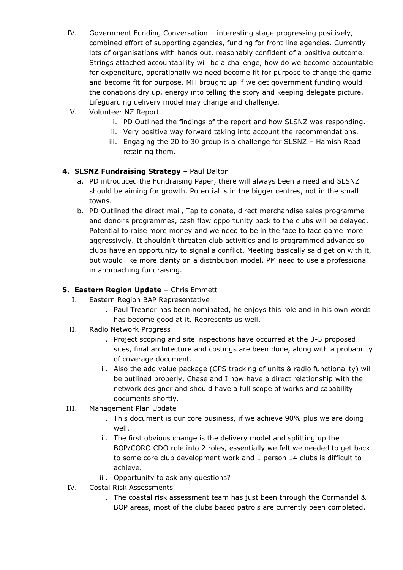- IV. Government Funding Conversation interesting stage progressing positively, combined effort of supporting agencies, funding for front line agencies. Currently lots of organisations with hands out, reasonably confident of a positive outcome. Strings attached accountability will be a challenge, how do we become accountable for expenditure, operationally we need become fit for purpose to change the game and become fit for purpose. MH brought up if we get government funding would the donations dry up, energy into telling the story and keeping delegate picture. Lifeguarding delivery model may change and challenge.
- V. Volunteer NZ Report
	- i. PD Outlined the findings of the report and how SLSNZ was responding.
	- ii. Very positive way forward taking into account the recommendations.
	- iii. Engaging the 20 to 30 group is a challenge for SLSNZ Hamish Read retaining them.

# **4. SLSNZ Fundraising Strategy** – Paul Dalton

- a. PD introduced the Fundraising Paper, there will always been a need and SLSNZ should be aiming for growth. Potential is in the bigger centres, not in the small towns.
- b. PD Outlined the direct mail, Tap to donate, direct merchandise sales programme and donor's programmes, cash flow opportunity back to the clubs will be delayed. Potential to raise more money and we need to be in the face to face game more aggressively. It shouldn't threaten club activities and is programmed advance so clubs have an opportunity to signal a conflict. Meeting basically said get on with it, but would like more clarity on a distribution model. PM need to use a professional in approaching fundraising.

# **5. Eastern Region Update –** Chris Emmett

- I. Eastern Region BAP Representative
	- i. Paul Treanor has been nominated, he enjoys this role and in his own words has become good at it. Represents us well.
- II. Radio Network Progress
	- i. Project scoping and site inspections have occurred at the 3-5 proposed sites, final architecture and costings are been done, along with a probability of coverage document.
	- ii. Also the add value package (GPS tracking of units & radio functionality) will be outlined properly, Chase and I now have a direct relationship with the network designer and should have a full scope of works and capability documents shortly.
- III. Management Plan Update
	- i. This document is our core business, if we achieve 90% plus we are doing well.
	- ii. The first obvious change is the delivery model and splitting up the BOP/CORO CDO role into 2 roles, essentially we felt we needed to get back to some core club development work and 1 person 14 clubs is difficult to achieve.
	- iii. Opportunity to ask any questions?
- IV. Costal Risk Assessments
	- i. The coastal risk assessment team has just been through the Cormandel & BOP areas, most of the clubs based patrols are currently been completed.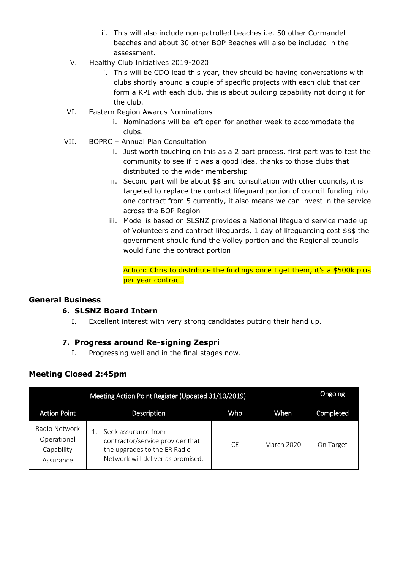- ii. This will also include non-patrolled beaches i.e. 50 other Cormandel beaches and about 30 other BOP Beaches will also be included in the assessment.
- V. Healthy Club Initiatives 2019-2020
	- i. This will be CDO lead this year, they should be having conversations with clubs shortly around a couple of specific projects with each club that can form a KPI with each club, this is about building capability not doing it for the club.
- VI. Eastern Region Awards Nominations
	- i. Nominations will be left open for another week to accommodate the clubs.
- VII. BOPRC Annual Plan Consultation
	- i. Just worth touching on this as a 2 part process, first part was to test the community to see if it was a good idea, thanks to those clubs that distributed to the wider membership
	- ii. Second part will be about \$\$ and consultation with other councils, it is targeted to replace the contract lifeguard portion of council funding into one contract from 5 currently, it also means we can invest in the service across the BOP Region
	- iii. Model is based on SLSNZ provides a National lifeguard service made up of Volunteers and contract lifeguards, 1 day of lifeguarding cost \$\$\$ the government should fund the Volley portion and the Regional councils would fund the contract portion

Action: Chris to distribute the findings once I get them, it's a \$500k plus per year contract.

#### **General Business**

# **6. SLSNZ Board Intern**

I. Excellent interest with very strong candidates putting their hand up.

# **7. Progress around Re-signing Zespri**

I. Progressing well and in the final stages now.

# **Meeting Closed 2:45pm**

|                                                         | Ongoing                                                                                                                      |     |            |           |
|---------------------------------------------------------|------------------------------------------------------------------------------------------------------------------------------|-----|------------|-----------|
| <b>Action Point</b>                                     | Description                                                                                                                  | Who | When       | Completed |
| Radio Network<br>Operational<br>Capability<br>Assurance | Seek assurance from<br>contractor/service provider that<br>the upgrades to the ER Radio<br>Network will deliver as promised. | CF. | March 2020 | On Target |